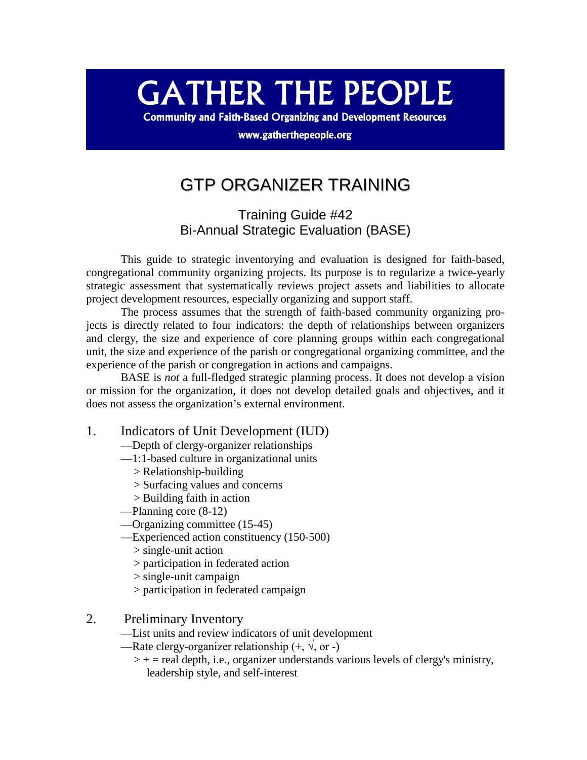## **GATHER THE PEOPLE**

**Community and Faith-Based Organizing and Development Resources** 

www.gatherthepeople.org

## GTP ORGANIZER TRAINING

Training Guide #42 Bi-Annual Strategic Evaluation (BASE)

This guide to strategic inventorying and evaluation is designed for faith-based, congregational community organizing projects. Its purpose is to regularize a twice-yearly strategic assessment that systematically reviews project assets and liabilities to allocate project development resources, especially organizing and support staff.

The process assumes that the strength of faith-based community organizing projects is directly related to four indicators: the depth of relationships between organizers and clergy, the size and experience of core planning groups within each congregational unit, the size and experience of the parish or congregational organizing committee, and the experience of the parish or congregation in actions and campaigns.

BASE is *not* a full-fledged strategic planning process. It does not develop a vision or mission for the organization, it does not develop detailed goals and objectives, and it does not assess the organization's external environment.

- 1. Indicators of Unit Development (IUD)
	- —Depth of clergy-organizer relationships
	- —1:1-based culture in organizational units
		- > Relationship-building
		- > Surfacing values and concerns
		- > Building faith in action
	- —Planning core (8-12)
	- —Organizing committee (15-45)
	- —Experienced action constituency (150-500)
		- > single-unit action
		- > participation in federated action
		- > single-unit campaign
		- > participation in federated campaign
- 2. Preliminary Inventory
	- —List units and review indicators of unit development
	- —Rate clergy-organizer relationship  $(+, \sqrt{0}, \text{or})$ 
		- $>$  + = real depth, i.e., organizer understands various levels of clergy's ministry, leadership style, and self-interest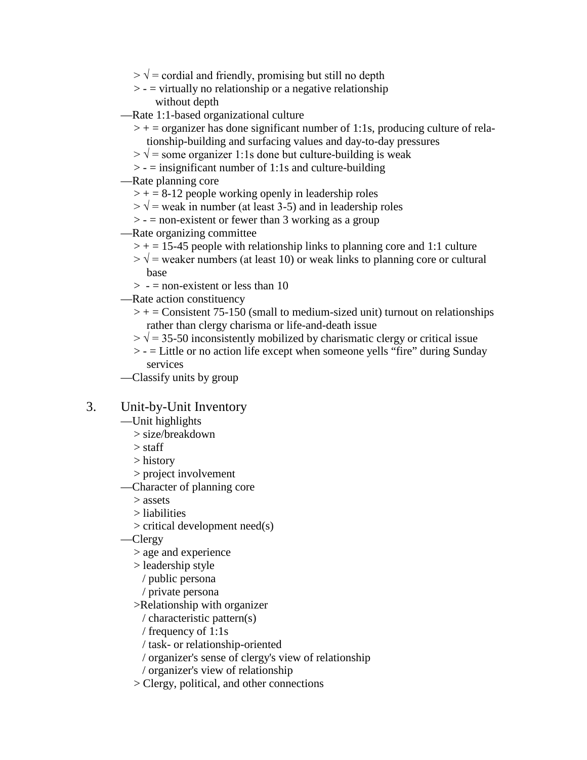- $> \sqrt{\ }$  = cordial and friendly, promising but still no depth
- $\ge$   $=$  virtually no relationship or a negative relationship without depth
- —Rate 1:1-based organizational culture
	- $>$  + = organizer has done significant number of 1:1s, producing culture of relationship-building and surfacing values and day-to-day pressures
	- $> \sqrt{\ }$  = some organizer 1:1s done but culture-building is weak
	- $>$  = insignificant number of 1:1s and culture-building
- —Rate planning core
	- $>$  + = 8-12 people working openly in leadership roles
	- $> \sqrt{\ }$  = weak in number (at least 3-5) and in leadership roles
	- $>$  = non-existent or fewer than 3 working as a group
- —Rate organizing committee
	- $>$  + = 15-45 people with relationship links to planning core and 1:1 culture
	- $> \sqrt{\ }$  = weaker numbers (at least 10) or weak links to planning core or cultural base
	- $> -$  = non-existent or less than 10
- —Rate action constituency
	- $\rightarrow$  + = Consistent 75-150 (small to medium-sized unit) turnout on relationships rather than clergy charisma or life-and-death issue
	- $> \sqrt{\frac{35}{50}}$  inconsistently mobilized by charismatic clergy or critical issue
	- > = Little or no action life except when someone yells "fire" during Sunday services
- —Classify units by group

## 3. Unit-by-Unit Inventory

- —Unit highlights
	- > size/breakdown
	- > staff
	- > history
	- > project involvement
- —Character of planning core
	- > assets
	- > liabilities
	- > critical development need(s)
- —Clergy
	- > age and experience
	- > leadership style
		- / public persona
		- / private persona
	- >Relationship with organizer
		- / characteristic pattern(s)
		- / frequency of 1:1s
		- / task- or relationship-oriented
		- / organizer's sense of clergy's view of relationship
		- / organizer's view of relationship
	- > Clergy, political, and other connections